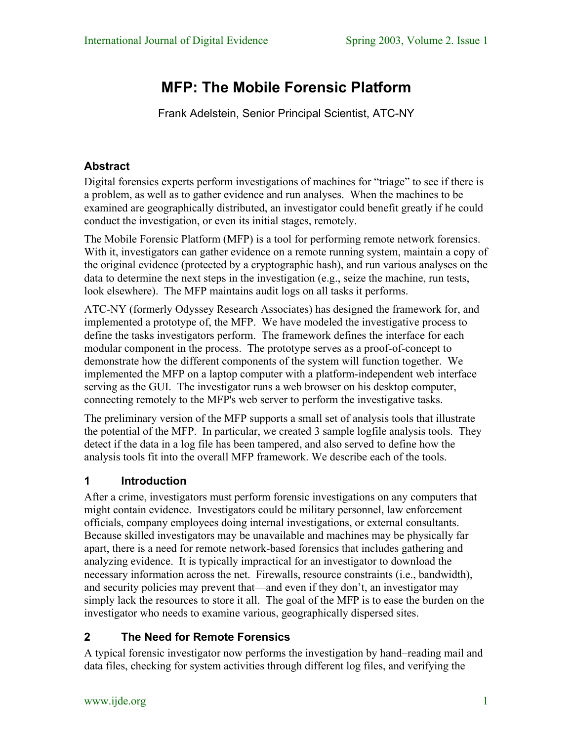# **MFP: The Mobile Forensic Platform**

Frank Adelstein, Senior Principal Scientist, ATC-NY

# **Abstract**

Digital forensics experts perform investigations of machines for "triage" to see if there is a problem, as well as to gather evidence and run analyses. When the machines to be examined are geographically distributed, an investigator could benefit greatly if he could conduct the investigation, or even its initial stages, remotely.

The Mobile Forensic Platform (MFP) is a tool for performing remote network forensics. With it, investigators can gather evidence on a remote running system, maintain a copy of the original evidence (protected by a cryptographic hash), and run various analyses on the data to determine the next steps in the investigation (e.g., seize the machine, run tests, look elsewhere). The MFP maintains audit logs on all tasks it performs.

ATC-NY (formerly Odyssey Research Associates) has designed the framework for, and implemented a prototype of, the MFP. We have modeled the investigative process to define the tasks investigators perform. The framework defines the interface for each modular component in the process. The prototype serves as a proof-of-concept to demonstrate how the different components of the system will function together. We implemented the MFP on a laptop computer with a platform-independent web interface serving as the GUI. The investigator runs a web browser on his desktop computer, connecting remotely to the MFP's web server to perform the investigative tasks.

The preliminary version of the MFP supports a small set of analysis tools that illustrate the potential of the MFP. In particular, we created 3 sample logfile analysis tools. They detect if the data in a log file has been tampered, and also served to define how the analysis tools fit into the overall MFP framework. We describe each of the tools.

#### **1 Introduction**

After a crime, investigators must perform forensic investigations on any computers that might contain evidence. Investigators could be military personnel, law enforcement officials, company employees doing internal investigations, or external consultants. Because skilled investigators may be unavailable and machines may be physically far apart, there is a need for remote network-based forensics that includes gathering and analyzing evidence. It is typically impractical for an investigator to download the necessary information across the net. Firewalls, resource constraints (i.e., bandwidth), and security policies may prevent that—and even if they don't, an investigator may simply lack the resources to store it all. The goal of the MFP is to ease the burden on the investigator who needs to examine various, geographically dispersed sites.

# **2 The Need for Remote Forensics**

A typical forensic investigator now performs the investigation by hand–reading mail and data files, checking for system activities through different log files, and verifying the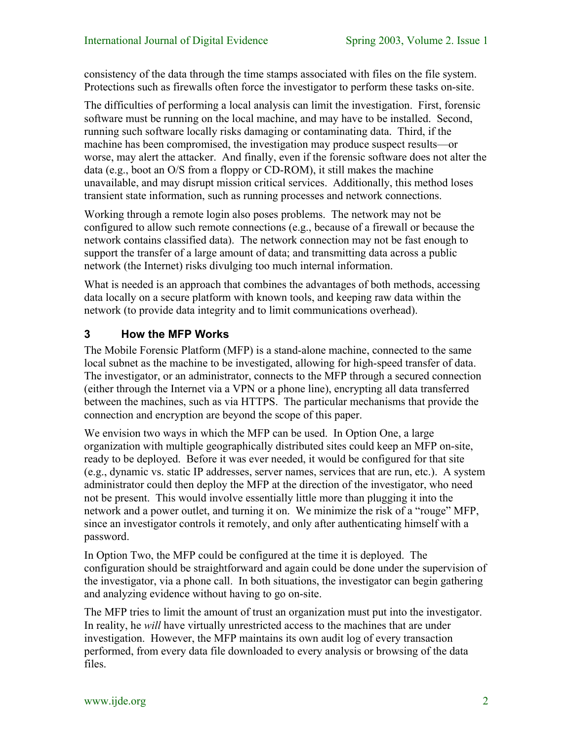consistency of the data through the time stamps associated with files on the file system. Protections such as firewalls often force the investigator to perform these tasks on-site.

The difficulties of performing a local analysis can limit the investigation. First, forensic software must be running on the local machine, and may have to be installed. Second, running such software locally risks damaging or contaminating data. Third, if the machine has been compromised, the investigation may produce suspect results—or worse, may alert the attacker. And finally, even if the forensic software does not alter the data (e.g., boot an O/S from a floppy or CD-ROM), it still makes the machine unavailable, and may disrupt mission critical services. Additionally, this method loses transient state information, such as running processes and network connections.

Working through a remote login also poses problems. The network may not be configured to allow such remote connections (e.g., because of a firewall or because the network contains classified data). The network connection may not be fast enough to support the transfer of a large amount of data; and transmitting data across a public network (the Internet) risks divulging too much internal information.

What is needed is an approach that combines the advantages of both methods, accessing data locally on a secure platform with known tools, and keeping raw data within the network (to provide data integrity and to limit communications overhead).

#### **3 How the MFP Works**

The Mobile Forensic Platform (MFP) is a stand-alone machine, connected to the same local subnet as the machine to be investigated, allowing for high-speed transfer of data. The investigator, or an administrator, connects to the MFP through a secured connection (either through the Internet via a VPN or a phone line), encrypting all data transferred between the machines, such as via HTTPS. The particular mechanisms that provide the connection and encryption are beyond the scope of this paper.

We envision two ways in which the MFP can be used. In Option One, a large organization with multiple geographically distributed sites could keep an MFP on-site, ready to be deployed. Before it was ever needed, it would be configured for that site (e.g., dynamic vs. static IP addresses, server names, services that are run, etc.). A system administrator could then deploy the MFP at the direction of the investigator, who need not be present. This would involve essentially little more than plugging it into the network and a power outlet, and turning it on. We minimize the risk of a "rouge" MFP, since an investigator controls it remotely, and only after authenticating himself with a password.

In Option Two, the MFP could be configured at the time it is deployed. The configuration should be straightforward and again could be done under the supervision of the investigator, via a phone call. In both situations, the investigator can begin gathering and analyzing evidence without having to go on-site.

The MFP tries to limit the amount of trust an organization must put into the investigator. In reality, he *will* have virtually unrestricted access to the machines that are under investigation. However, the MFP maintains its own audit log of every transaction performed, from every data file downloaded to every analysis or browsing of the data files.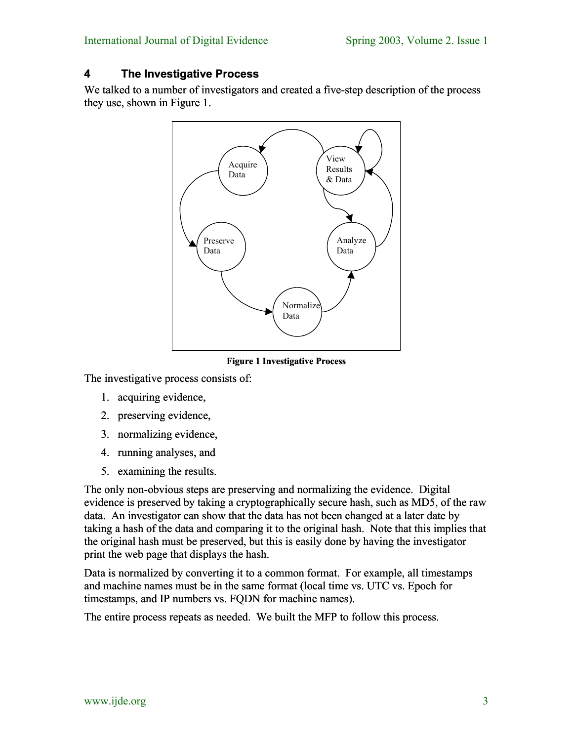#### **4 The Investigative Process**

We talked to a number of investigators and created a five-step description of the process they use, shown in [Figure 1.](#page-2-0)



<span id="page-2-0"></span>**Figure 1 Investigative Process** 

The investigative process consists of:

- 1. acquiring evidence,
- 2. preserving evidence,
- 3. normalizing evidence,
- 4. running analyses, and
- 5. examining the results.

The only non-obvious steps are preserving and normalizing the evidence. Digital evidence is preserved by taking a cryptographically secure hash, such as MD5, of the raw data. An investigator can show that the data has not been changed at a later date by taking a hash of the data and comparing it to the original hash. Note that this implies that the original hash must be preserved, but this is easily done by having the investigator print the web page that displays the hash.

Data is normalized by converting it to a common format. For example, all timestamps and machine names must be in the same format (local time vs. UTC vs. Epoch for timestamps, and IP numbers vs. FODN for machine names).

The entire process repeats as needed. We built the MFP to follow this process.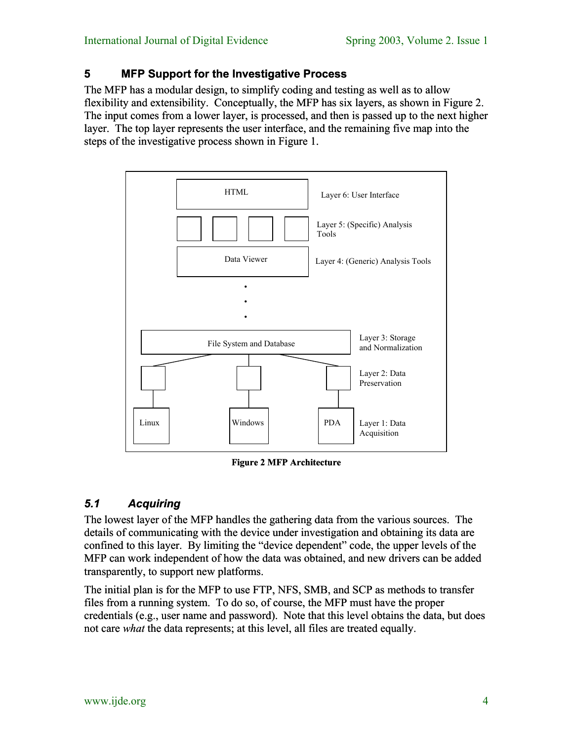#### **5 MFP Support for the Investigative Process**

The MFP has a modular design, to simplify coding and testing as well as to allow flexibility and extensibility. Conceptually, the MFP has six layers, as shown in [Figure 2.](#page-3-0) The input comes from a lower layer, is processed, and then is passed up to the next higher layer. The top layer represents the user interface, and the remaining five map into the steps of the investigative process shown in [Figure 1.](#page-2-0)



<span id="page-3-0"></span>**Figure 2 MFP Architecture**

# *5.1 Acquiring*

The lowest layer of the MFP handles the gathering data from the various sources. The details of communicating with the device under investigation and obtaining its data are confined to this layer. By limiting the "device dependent" code, the upper levels of the MFP can work independent of how the data was obtained, and new drivers can be added transparently, to support new platforms.

The initial plan is for the MFP to use FTP, NFS, SMB, and SCP as methods to transfer files from a running system. To do so, of course, the MFP must have the proper credentials (e.g., user name and password). Note that this level obtains the data, but does not care *what* the data represents; at this level, all files are treated equally.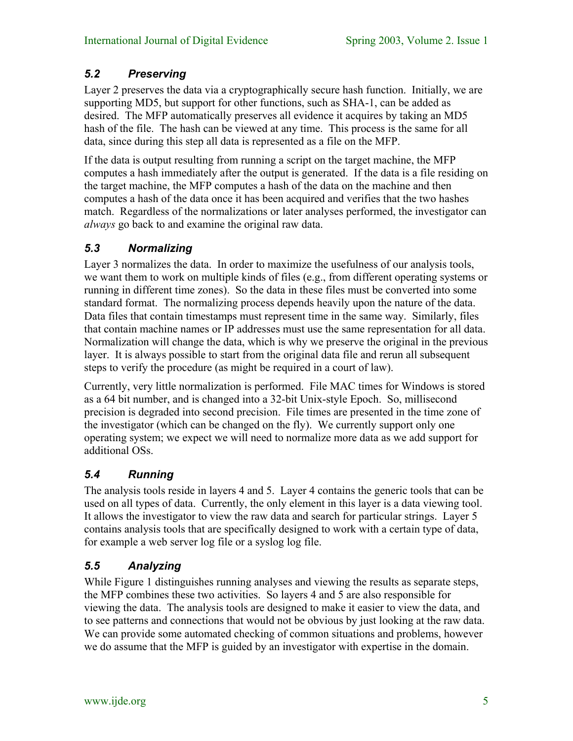## *5.2 Preserving*

Layer 2 preserves the data via a cryptographically secure hash function. Initially, we are supporting MD5, but support for other functions, such as SHA-1, can be added as desired. The MFP automatically preserves all evidence it acquires by taking an MD5 hash of the file. The hash can be viewed at any time. This process is the same for all data, since during this step all data is represented as a file on the MFP.

If the data is output resulting from running a script on the target machine, the MFP computes a hash immediately after the output is generated. If the data is a file residing on the target machine, the MFP computes a hash of the data on the machine and then computes a hash of the data once it has been acquired and verifies that the two hashes match. Regardless of the normalizations or later analyses performed, the investigator can *always* go back to and examine the original raw data.

### *5.3 Normalizing*

Layer 3 normalizes the data. In order to maximize the usefulness of our analysis tools, we want them to work on multiple kinds of files (e.g., from different operating systems or running in different time zones). So the data in these files must be converted into some standard format. The normalizing process depends heavily upon the nature of the data. Data files that contain timestamps must represent time in the same way. Similarly, files that contain machine names or IP addresses must use the same representation for all data. Normalization will change the data, which is why we preserve the original in the previous layer. It is always possible to start from the original data file and rerun all subsequent steps to verify the procedure (as might be required in a court of law).

Currently, very little normalization is performed. File MAC times for Windows is stored as a 64 bit number, and is changed into a 32-bit Unix-style Epoch. So, millisecond precision is degraded into second precision. File times are presented in the time zone of the investigator (which can be changed on the fly). We currently support only one operating system; we expect we will need to normalize more data as we add support for additional OSs.

# *5.4 Running*

The analysis tools reside in layers 4 and 5. Layer 4 contains the generic tools that can be used on all types of data. Currently, the only element in this layer is a data viewing tool. It allows the investigator to view the raw data and search for particular strings. Layer 5 contains analysis tools that are specifically designed to work with a certain type of data, for example a web server log file or a syslog log file.

# *5.5 Analyzing*

While [Figure 1](#page-2-0) distinguishes running analyses and viewing the results as separate steps, the MFP combines these two activities. So layers 4 and 5 are also responsible for viewing the data. The analysis tools are designed to make it easier to view the data, and to see patterns and connections that would not be obvious by just looking at the raw data. We can provide some automated checking of common situations and problems, however we do assume that the MFP is guided by an investigator with expertise in the domain.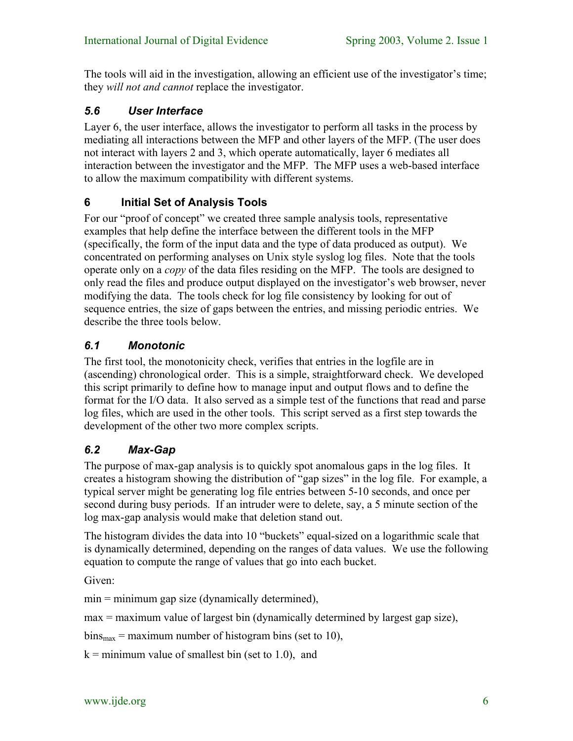The tools will aid in the investigation, allowing an efficient use of the investigator's time; they *will not and cannot* replace the investigator.

#### *5.6 User Interface*

Layer 6, the user interface, allows the investigator to perform all tasks in the process by mediating all interactions between the MFP and other layers of the MFP. (The user does not interact with layers 2 and 3, which operate automatically, layer 6 mediates all interaction between the investigator and the MFP. The MFP uses a web-based interface to allow the maximum compatibility with different systems.

#### **6 Initial Set of Analysis Tools**

For our "proof of concept" we created three sample analysis tools, representative examples that help define the interface between the different tools in the MFP (specifically, the form of the input data and the type of data produced as output). We concentrated on performing analyses on Unix style syslog log files. Note that the tools operate only on a *copy* of the data files residing on the MFP. The tools are designed to only read the files and produce output displayed on the investigator's web browser, never modifying the data. The tools check for log file consistency by looking for out of sequence entries, the size of gaps between the entries, and missing periodic entries. We describe the three tools below.

#### *6.1 Monotonic*

The first tool, the monotonicity check, verifies that entries in the logfile are in (ascending) chronological order. This is a simple, straightforward check. We developed this script primarily to define how to manage input and output flows and to define the format for the I/O data. It also served as a simple test of the functions that read and parse log files, which are used in the other tools. This script served as a first step towards the development of the other two more complex scripts.

#### *6.2 Max-Gap*

The purpose of max-gap analysis is to quickly spot anomalous gaps in the log files. It creates a histogram showing the distribution of "gap sizes" in the log file. For example, a typical server might be generating log file entries between 5-10 seconds, and once per second during busy periods. If an intruder were to delete, say, a 5 minute section of the log max-gap analysis would make that deletion stand out.

The histogram divides the data into 10 "buckets" equal-sized on a logarithmic scale that is dynamically determined, depending on the ranges of data values. We use the following equation to compute the range of values that go into each bucket.

Given:

min = minimum gap size (dynamically determined),

max = maximum value of largest bin (dynamically determined by largest gap size),

 $bins_{max} = maximum$  number of histogram bins (set to 10),

 $k =$  minimum value of smallest bin (set to 1.0), and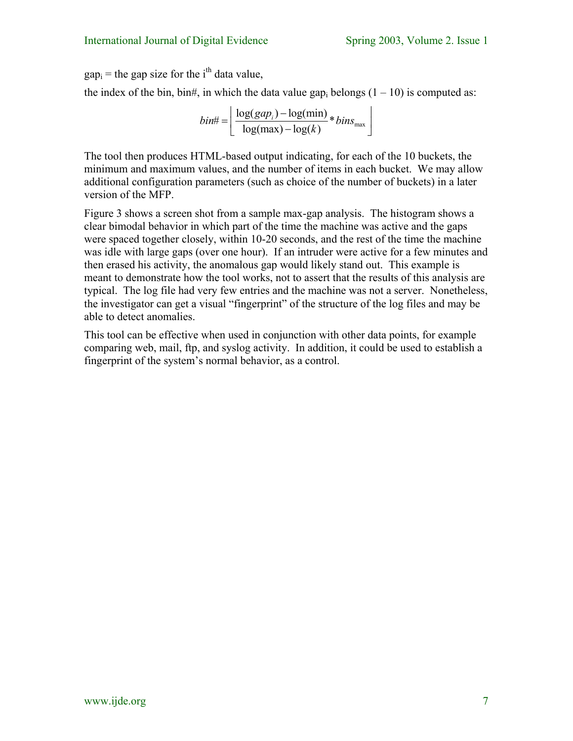$gap<sub>i</sub>$  = the gap size for the i<sup>th</sup> data value,

the index of the bin, bin#, in which the data value gap<sub>i</sub> belongs  $(1 - 10)$  is computed as:

 $\# = \left| \frac{\log(gap_i) - \log(\min)}{\log(\max)} \cdot \frac{1}{\log d}\right| \times bins_{\max}$  $log(max) - log(k)$  $b$ *in*# $=$   $\frac{\log(gap_i) - \log(min)}{1 - \log(n)} * bins$  $=\left[\frac{\log(gap_i)-\log(\min)}{\log(\max)-\log(k)}*bins_{\max}\right]$ 

The tool then produces HTML-based output indicating, for each of the 10 buckets, the minimum and maximum values, and the number of items in each bucket. We may allow additional configuration parameters (such as choice of the number of buckets) in a later version of the MFP.

[Figure 3](#page-7-0) shows a screen shot from a sample max-gap analysis. The histogram shows a clear bimodal behavior in which part of the time the machine was active and the gaps were spaced together closely, within 10-20 seconds, and the rest of the time the machine was idle with large gaps (over one hour). If an intruder were active for a few minutes and then erased his activity, the anomalous gap would likely stand out. This example is meant to demonstrate how the tool works, not to assert that the results of this analysis are typical. The log file had very few entries and the machine was not a server. Nonetheless, the investigator can get a visual "fingerprint" of the structure of the log files and may be able to detect anomalies.

This tool can be effective when used in conjunction with other data points, for example comparing web, mail, ftp, and syslog activity. In addition, it could be used to establish a fingerprint of the system's normal behavior, as a control.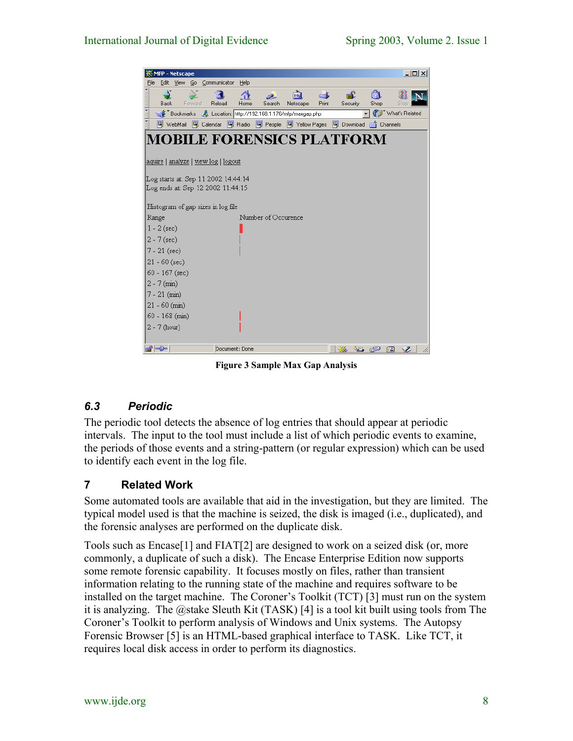<span id="page-7-0"></span>

|                                                                           | $ \Box$ $\times$<br><b>MFP</b> - Netscape                                         |      |         |                 |                |                     |                                            |             |                |                         |                                  |  |  |
|---------------------------------------------------------------------------|-----------------------------------------------------------------------------------|------|---------|-----------------|----------------|---------------------|--------------------------------------------|-------------|----------------|-------------------------|----------------------------------|--|--|
| File                                                                      | Edit                                                                              | View |         | Go Communicator | Help           |                     |                                            |             |                |                         |                                  |  |  |
|                                                                           | Back                                                                              |      | Forward | Reload          | ∧<br>Home      | Search              | Mu<br>Netscape                             | Ć.<br>Print | டி<br>Security | ட்<br>Shop              | Stop                             |  |  |
|                                                                           | (iii) What's Related<br>Bookmarks A Location: http://192.168.1.176/mfp/maxgap.php |      |         |                 |                |                     |                                            |             |                |                         |                                  |  |  |
|                                                                           | 图 WebMail                                                                         |      |         | 图 Calendar      |                |                     | 网 Radio 网 People 网 Yellow Pages 网 Download |             |                | <b>Comment</b> Channels |                                  |  |  |
| MOBILE FORENSICS PLATFORM                                                 |                                                                                   |      |         |                 |                |                     |                                            |             |                |                         |                                  |  |  |
| <u> aquire   analyze   view log   logout</u>                              |                                                                                   |      |         |                 |                |                     |                                            |             |                |                         |                                  |  |  |
| Log starts at: Sep 11 2002 14:44:14 <br>Log ends at: Sep 12 2002 11:44:15 |                                                                                   |      |         |                 |                |                     |                                            |             |                |                         |                                  |  |  |
|                                                                           | Histogram of gap sizes in log file                                                |      |         |                 |                |                     |                                            |             |                |                         |                                  |  |  |
| Range                                                                     |                                                                                   |      |         |                 |                | Number of Occurence |                                            |             |                |                         |                                  |  |  |
|                                                                           | $1 - 2$ (sec)                                                                     |      |         |                 |                |                     |                                            |             |                |                         |                                  |  |  |
|                                                                           | $2 - 7$ (sec)                                                                     |      |         |                 |                |                     |                                            |             |                |                         |                                  |  |  |
|                                                                           | $7 - 21$ (sec)                                                                    |      |         |                 |                |                     |                                            |             |                |                         |                                  |  |  |
|                                                                           | $21 - 60$ (sec)                                                                   |      |         |                 |                |                     |                                            |             |                |                         |                                  |  |  |
|                                                                           | 60 - 167 (sec)                                                                    |      |         |                 |                |                     |                                            |             |                |                         |                                  |  |  |
|                                                                           | $2 - 7$ (min)                                                                     |      |         |                 |                |                     |                                            |             |                |                         |                                  |  |  |
|                                                                           | $7 - 21$ (min)                                                                    |      |         |                 |                |                     |                                            |             |                |                         |                                  |  |  |
|                                                                           | $21 - 60$ (min)                                                                   |      |         |                 |                |                     |                                            |             |                |                         |                                  |  |  |
|                                                                           | 60 - 168 (min)                                                                    |      |         |                 |                |                     |                                            |             |                |                         |                                  |  |  |
|                                                                           | $2 - 7$ (hour)                                                                    |      |         |                 |                |                     |                                            |             |                |                         |                                  |  |  |
| d'ID-                                                                     |                                                                                   |      |         |                 | Document: Done |                     |                                            |             | -32            | JB dP                   | $\mathcal{L}_{\mathcal{L}}$<br>國 |  |  |

**Figure 3 Sample Max Gap Analysis**

# *6.3 Periodic*

The periodic tool detects the absence of log entries that should appear at periodic intervals. The input to the tool must include a list of which periodic events to examine, the periods of those events and a string-pattern (or regular expression) which can be used to identify each event in the log file.

# **7 Related Work**

Some automated tools are available that aid in the investigation, but they are limited. The typical model used is that the machine is seized, the disk is imaged (i.e., duplicated), and the forensic analyses are performed on the duplicate disk.

Tools such as Encase[1] and FIAT[2] are designed to work on a seized disk (or, more commonly, a duplicate of such a disk). The Encase Enterprise Edition now supports some remote forensic capability. It focuses mostly on files, rather than transient information relating to the running state of the machine and requires software to be installed on the target machine. The Coroner's Toolkit (TCT) [3] must run on the system it is analyzing. The @stake Sleuth Kit (TASK) [4] is a tool kit built using tools from The Coroner's Toolkit to perform analysis of Windows and Unix systems. The Autopsy Forensic Browser [5] is an HTML-based graphical interface to TASK. Like TCT, it requires local disk access in order to perform its diagnostics.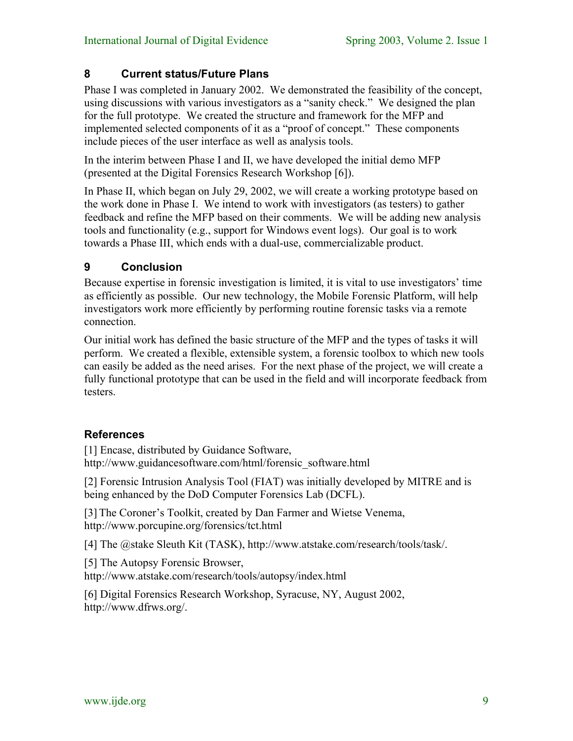#### **8 Current status/Future Plans**

Phase I was completed in January 2002. We demonstrated the feasibility of the concept, using discussions with various investigators as a "sanity check." We designed the plan for the full prototype. We created the structure and framework for the MFP and implemented selected components of it as a "proof of concept." These components include pieces of the user interface as well as analysis tools.

In the interim between Phase I and II, we have developed the initial demo MFP (presented at the Digital Forensics Research Workshop [6]).

In Phase II, which began on July 29, 2002, we will create a working prototype based on the work done in Phase I. We intend to work with investigators (as testers) to gather feedback and refine the MFP based on their comments. We will be adding new analysis tools and functionality (e.g., support for Windows event logs). Our goal is to work towards a Phase III, which ends with a dual-use, commercializable product.

#### **9 Conclusion**

Because expertise in forensic investigation is limited, it is vital to use investigators' time as efficiently as possible. Our new technology, the Mobile Forensic Platform, will help investigators work more efficiently by performing routine forensic tasks via a remote connection.

Our initial work has defined the basic structure of the MFP and the types of tasks it will perform. We created a flexible, extensible system, a forensic toolbox to which new tools can easily be added as the need arises. For the next phase of the project, we will create a fully functional prototype that can be used in the field and will incorporate feedback from testers.

#### **References**

[1] Encase, distributed by Guidance Software, http://www.guidancesoftware.com/html/forensic\_software.html

[2] Forensic Intrusion Analysis Tool (FIAT) was initially developed by MITRE and is being enhanced by the DoD Computer Forensics Lab (DCFL).

[3] The Coroner's Toolkit, created by Dan Farmer and Wietse Venema, http://www.porcupine.org/forensics/tct.html

[4] The @stake Sleuth Kit (TASK), http://www.atstake.com/research/tools/task/.

[5] The Autopsy Forensic Browser,

http://www.atstake.com/research/tools/autopsy/index.html

[6] Digital Forensics Research Workshop, Syracuse, NY, August 2002, http://www.dfrws.org/.